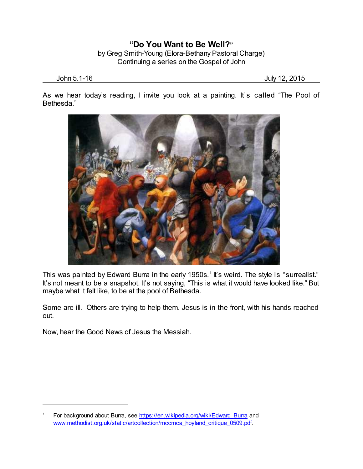## **"Do You Want to Be Well?"** by Greg Smith-Young (Elora-Bethany Pastoral Charge) Continuing a series on the Gospel of John

John 5.1-16 July 12, 2015

As we hear today's reading, I invite you look at a painting. It's called "The Pool of Bethesda."



This was painted by Edward Burra in the early 1950s.<sup>1</sup> It's weird. The style is "surrealist." It's not meant to be a snapshot. It's not saying, "This is what it would have looked like." But maybe what it felt like, to be at the pool of Bethesda.

Some are ill. Others are trying to help them. Jesus is in the front, with his hands reached out.

Now, hear the Good News of Jesus the Messiah.

For background about Burra, see https://en.wikipedia.org/wiki/Edward Burra and [www.methodist.org.uk/static/artcollection/mccmca\\_hoyland\\_critique\\_0509.pdf](http://www.methodist.org.uk/static/artcollection/mccmca_hoyland_critique_0509.pdf).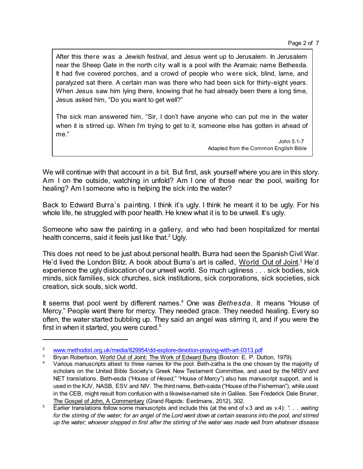Page 2 of 7

After this there was a Jewish festival, and Jesus went up to Jerusalem. In Jerusalem near the Sheep Gate in the north city wall is a pool with the Aramaic name Bethesda. It had five covered porches, and a crowd of people who were sick, blind, lame, and paralyzed sat there. A certain man was there who had been sick for thirty-eight years. When Jesus saw him lying there, knowing that he had already been there a long time, Jesus asked him, "Do you want to get well?"

The sick man answered him, "Sir, I don't have anyone who can put me in the water when it is stirred up. When I'm trying to get to it, someone else has gotten in ahead of me."

> John 5.1-7 Adapted from the Common English Bible

We will continue with that account in a bit. But first, ask yourself where you are in this story. Am I on the outside, watching in unfold? Am I one of those near the pool, waiting for healing? Am I someone who is helping the sick into the water?

Back to Edward Burra's painting. I think it's ugly. I think he meant it to be ugly. For his whole life, he struggled with poor health. He knew what it is to be unwell. It's ugly.

Someone who saw the painting in a gallery, and who had been hospitalized for mental health concerns, said it feels just like that.<sup>2</sup> Ugly.

This does not need to be just about personal health. Burra had seen the Spanish Civil War. He'd lived the London Blitz. A book about Burra's art is called, World Out of Joint.<sup>3</sup> He'd experience the ugly dislocation of our unwell world. So much ugliness . . . sick bodies, sick minds, sick families, sick churches, sick institutions, sick corporations, sick societies, sick creation, sick souls, sick world.

It seems that pool went by different names.<sup>4</sup> One was *Bethesda*. It means "House of Mercy." People went there for mercy. They needed grace. They needed healing. Every so often, the water started bubbling up. They said an angel was stirring it, and if you were the first in when it started, you were cured.<sup>5</sup>

<sup>2</sup> [www.methodist.org.uk/media/829954/dd-explore-devotion-praying-with-art-0313.pdf](http://www.methodist.org.uk/media/829954/dd-explore-devotion-praying-with-art-0313.pdf)

<sup>&</sup>lt;sup>3</sup> Bryan Robertson, World Out of Joint: The Work of Edward Burra (Boston: E. P. Dutton, 1979).

Various manuscripts attest to three names for the pool. Beth-zatha is the one chosen by the majority of scholars on the United Bible Society's Greek New Testament Committee, and used by the NRSV and NET translations. Beth-esda ("House of *Hesed*," "House of Mercy") also has manuscript support, and is used in the KJV, NASB, ESV and NIV. The third name, Beth-saida ("House of the Fisherman"), while used in the CEB, might result from confusion with a likewise-named site in Galilee. See Frederick Dale Bruner, The Gospel of John, A Commentary (Grand Rapids: Eerdmans, 2012), 302.

<sup>5</sup> Earlier translations follow some manuscripts and include this (at the end of v.3 and as v.4): *". . . waiting* for the stirring of the water; for an angel of the Lord went down at certain seasons into the pool, and stirred up the water; whoever stepped in first after the stirring of the water was made well from whatever disease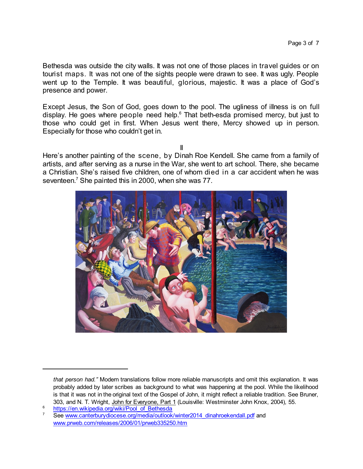Bethesda was outside the city walls. It was not one of those places in travel guides or on tourist maps. It was not one of the sights people were drawn to see. It was ugly. People went up to the Temple. It was beautiful, glorious, majestic. It was a place of God's presence and power.

Except Jesus, the Son of God, goes down to the pool. The ugliness of illness is on full display. He goes where people need help. $6$  That beth-esda promised mercy, but just to those who could get in first. When Jesus went there, Mercy showed up in person. Especially for those who couldn't get in.

II

Here's another painting of the scene, by Dinah Roe Kendell. She came from a family of artists, and after serving as a nurse in the War, she went to art school. There, she became a Christian. She's raised five children, one of whom died in a car accident when he was seventeen. <sup>7</sup> She painted this in 2000, when she was 77.



*that person had."* Modern translations follow more reliable manuscripts and omit this explanation. It was probably added by later scribes as background to what was happening at the pool. While the likelihood is that it was not in the original text of the Gospel of John, it might reflect a reliable tradition. See Bruner, 303, and N. T. Wright, John for Everyone, Part 1 (Louisville: Westminster John Knox, 2004), 55.

<sup>&</sup>lt;sup>6</sup> [https://en.wikipedia.org/wiki/Pool\\_of\\_Bethesda](https://en.wikipedia.org/wiki/Pool_of_Bethesda)

See [www.canterburydiocese.org/media/outlook/winter2014\\_dinahroekendall.pdf](https://www.canterburydiocese.org/media/outlook/winter2014_dinahroekendall.pdf) and [www.prweb.com/releases/2006/01/prweb335250.htm](http://www.prweb.com/releases/2006/01/prweb335250.htm)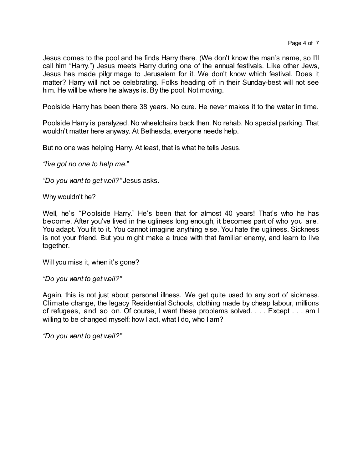Jesus comes to the pool and he finds Harry there. (We don't know the man's name, so I'll call him "Harry.") Jesus meets Harry during one of the annual festivals. Like other Jews, Jesus has made pilgrimage to Jerusalem for it. We don't know which festival. Does it matter? Harry will not be celebrating. Folks heading off in their Sunday-best will not see him. He will be where he always is. By the pool. Not moving.

Poolside Harry has been there 38 years. No cure. He never makes it to the water in time.

Poolside Harry is paralyzed. No wheelchairs back then. No rehab. No special parking. That wouldn't matter here anyway. At Bethesda, everyone needs help.

But no one was helping Harry. At least, that is what he tells Jesus.

*"I've got no one to help me.*"

*"Do you want to get well?"* Jesus asks.

Why wouldn't he?

Well, he's "Poolside Harry." He's been that for almost 40 years! That's who he has become. After you've lived in the ugliness long enough, it becomes part of who you are. You adapt. You fit to it. You cannot imagine anything else. You hate the ugliness. Sickness is not your friend. But you might make a truce with that familiar enemy, and learn to live together.

Will you miss it, when it's gone?

*"Do you want to get well?"*

Again, this is not just about personal illness. We get quite used to any sort of sickness. Climate change, the legacy Residential Schools, clothing made by cheap labour, millions of refugees, and so on. Of course, I want these problems solved. . . . Except . . . am I willing to be changed myself: how I act, what I do, who I am?

*"Do you want to get well?"*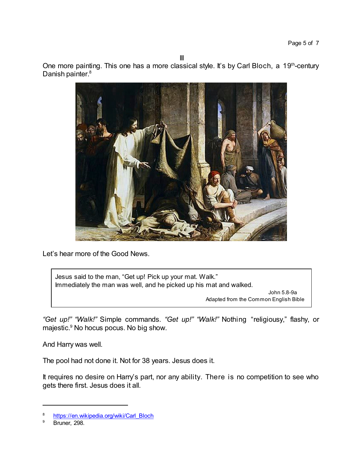III

One more painting. This one has a more classical style. It's by Carl Bloch, a 19<sup>th</sup>-century Danish painter. 8



Let's hear more of the Good News.

Jesus said to the man, "Get up! Pick up your mat. Walk." Immediately the man was well, and he picked up his mat and walked.

> John 5.8-9a Adapted from the Common English Bible

*"Get up!" "Walk!"* Simple commands. *"Get up!" "Walk!"* Nothing "religiousy," flashy, or majestic.<sup>9</sup> No hocus pocus. No big show.

And Harry was well.

The pool had not done it. Not for 38 years. Jesus does it.

It requires no desire on Harry's part, nor any ability. There is no competition to see who gets there first. Jesus does it all.

[https://en.wikipedia.org/wiki/Carl\\_Bloch](https://en.wikipedia.org/wiki/Carl_Bloch)

Bruner, 298.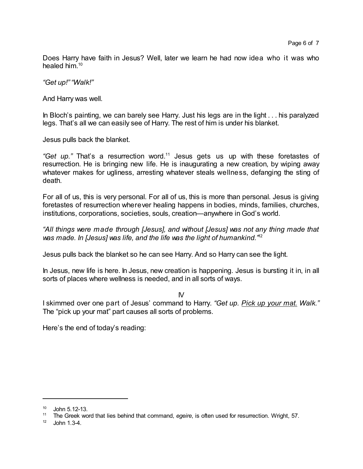Does Harry have faith in Jesus? Well, later we learn he had now idea who it was who healed him. 10

*"Get up!" "Walk!"*

And Harry was well.

In Bloch's painting, we can barely see Harry. Just his legs are in the light . . . his paralyzed legs. That's all we can easily see of Harry. The rest of him is under his blanket.

Jesus pulls back the blanket.

*"Get up."* That's a resurrection word.<sup>11</sup> Jesus gets us up with these foretastes of resurrection. He is bringing new life. He is inaugurating a new creation, by wiping away whatever makes for ugliness, arresting whatever steals wellness, defanging the sting of death.

For all of us, this is very personal. For all of us, this is more than personal. Jesus is giving foretastes of resurrection wherever healing happens in bodies, minds, families, churches, institutions, corporations, societies, souls, creation—anywhere in God's world.

*"All things were made through [Jesus], and without [Jesus] was not any thing made that was made. In [Jesus] was life, and the life was the light of humankind."* 12

Jesus pulls back the blanket so he can see Harry. And so Harry can see the light.

In Jesus, new life is here. In Jesus, new creation is happening. Jesus is bursting it in, in all sorts of places where wellness is needed, and in all sorts of ways.

IV

I skimmed over one part of Jesus' command to Harry. *"Get up. Pick up your mat. Walk."* The "pick up your mat" part causes all sorts of problems.

Here's the end of today's reading:

 $^{10}$  John 5.12-13.<br> $^{11}$  The Greek was

<sup>11</sup> The Greek word that lies behind that command, *egeire*, is often used for resurrection. Wright, 57.

 $12$  John 1.3-4.